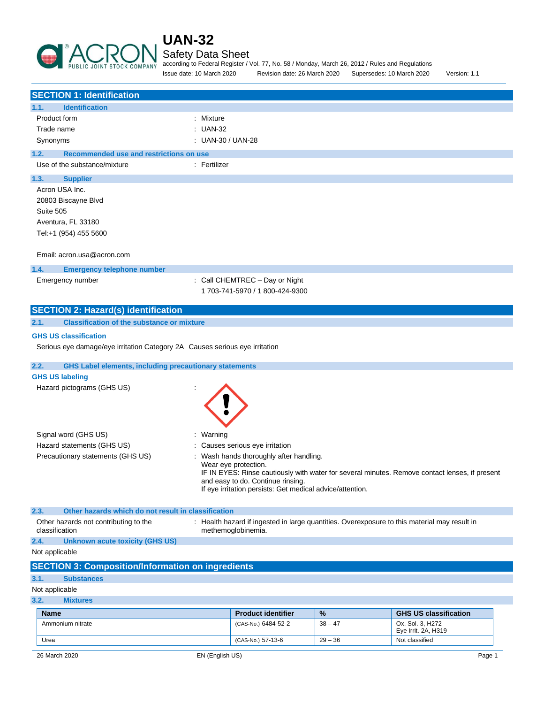

## Safety Data Sheet

according to Federal Register / Vol. 77, No. 58 / Monday, March 26, 2012 / Rules and Regulations Issue date: 10 March 2020 Revision date: 26 March 2020 Supersedes: 10 March 2020 Version: 1.1

|                           | <b>SECTION 1: Identification</b>                                                                            |                                                           |           |                                                                                                |  |
|---------------------------|-------------------------------------------------------------------------------------------------------------|-----------------------------------------------------------|-----------|------------------------------------------------------------------------------------------------|--|
| 1.1.                      | <b>Identification</b>                                                                                       |                                                           |           |                                                                                                |  |
| Product form<br>: Mixture |                                                                                                             |                                                           |           |                                                                                                |  |
|                           | : UAN-32<br>Trade name                                                                                      |                                                           |           |                                                                                                |  |
|                           | Synonyms<br>: UAN-30 / UAN-28                                                                               |                                                           |           |                                                                                                |  |
| 1.2.                      | Recommended use and restrictions on use                                                                     |                                                           |           |                                                                                                |  |
|                           | Use of the substance/mixture<br>: Fertilizer                                                                |                                                           |           |                                                                                                |  |
| 1.3.                      | <b>Supplier</b>                                                                                             |                                                           |           |                                                                                                |  |
|                           | Acron USA Inc.                                                                                              |                                                           |           |                                                                                                |  |
|                           | 20803 Biscayne Blvd                                                                                         |                                                           |           |                                                                                                |  |
|                           | Suite 505                                                                                                   |                                                           |           |                                                                                                |  |
|                           | Aventura, FL 33180                                                                                          |                                                           |           |                                                                                                |  |
|                           | Tel:+1 (954) 455 5600                                                                                       |                                                           |           |                                                                                                |  |
|                           | Email: acron.usa@acron.com                                                                                  |                                                           |           |                                                                                                |  |
| 1.4.                      | <b>Emergency telephone number</b>                                                                           |                                                           |           |                                                                                                |  |
|                           | Emergency number                                                                                            | : Call CHEMTREC - Day or Night                            |           |                                                                                                |  |
|                           |                                                                                                             | 1703-741-5970 / 1800-424-9300                             |           |                                                                                                |  |
|                           | <b>SECTION 2: Hazard(s) identification</b>                                                                  |                                                           |           |                                                                                                |  |
| 2.1.                      | <b>Classification of the substance or mixture</b>                                                           |                                                           |           |                                                                                                |  |
|                           |                                                                                                             |                                                           |           |                                                                                                |  |
|                           | <b>GHS US classification</b><br>Serious eye damage/eye irritation Category 2A Causes serious eye irritation |                                                           |           |                                                                                                |  |
|                           |                                                                                                             |                                                           |           |                                                                                                |  |
| 2.2.                      | <b>GHS Label elements, including precautionary statements</b>                                               |                                                           |           |                                                                                                |  |
|                           | <b>GHS US labeling</b>                                                                                      |                                                           |           |                                                                                                |  |
|                           | Hazard pictograms (GHS US)                                                                                  |                                                           |           |                                                                                                |  |
|                           |                                                                                                             |                                                           |           |                                                                                                |  |
|                           |                                                                                                             |                                                           |           |                                                                                                |  |
|                           |                                                                                                             |                                                           |           |                                                                                                |  |
|                           | Signal word (GHS US)<br>Warning                                                                             |                                                           |           |                                                                                                |  |
|                           | Hazard statements (GHS US)                                                                                  | Causes serious eye irritation                             |           |                                                                                                |  |
|                           | Precautionary statements (GHS US)                                                                           | Wash hands thoroughly after handling.                     |           |                                                                                                |  |
|                           |                                                                                                             | Wear eye protection.                                      |           |                                                                                                |  |
|                           |                                                                                                             | and easy to do. Continue rinsing.                         |           | IF IN EYES: Rinse cautiously with water for several minutes. Remove contact lenses, if present |  |
|                           |                                                                                                             | If eye irritation persists: Get medical advice/attention. |           |                                                                                                |  |
|                           |                                                                                                             |                                                           |           |                                                                                                |  |
| 2.3.                      | Other hazards which do not result in classification                                                         |                                                           |           |                                                                                                |  |
|                           | Other hazards not contributing to the<br>classification                                                     | methemoglobinemia.                                        |           | : Health hazard if ingested in large quantities. Overexposure to this material may result in   |  |
| 2.4.                      | <b>Unknown acute toxicity (GHS US)</b>                                                                      |                                                           |           |                                                                                                |  |
|                           | Not applicable                                                                                              |                                                           |           |                                                                                                |  |
|                           | <b>SECTION 3: Composition/Information on ingredients</b>                                                    |                                                           |           |                                                                                                |  |
| 3.1.                      | <b>Substances</b>                                                                                           |                                                           |           |                                                                                                |  |
|                           | Not applicable                                                                                              |                                                           |           |                                                                                                |  |
| 3.2.                      | <b>Mixtures</b>                                                                                             |                                                           |           |                                                                                                |  |
|                           | <b>Name</b>                                                                                                 | <b>Product identifier</b>                                 | %         | <b>GHS US classification</b>                                                                   |  |
|                           | Ammonium nitrate                                                                                            | (CAS-No.) 6484-52-2                                       | $38 - 47$ | Ox. Sol. 3, H272<br>Eye Irrit. 2A, H319                                                        |  |

Urea **1988** CAS-No. 37-13-6 29 – 36 Not classified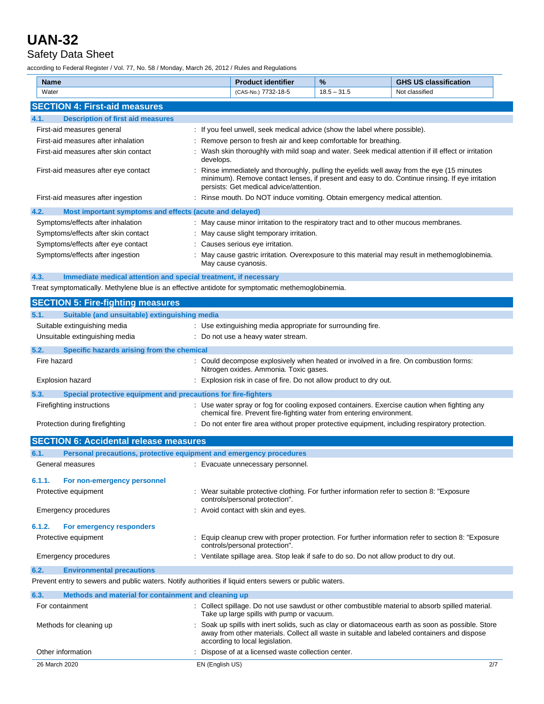## Safety Data Sheet

according to Federal Register / Vol. 77, No. 58 / Monday, March 26, 2012 / Rules and Regulations

| <b>Name</b>                                                     | <b>Product identifier</b>                                                            | $\frac{9}{6}$ | <b>GHS US classification</b>                                                                                                                                                                  |
|-----------------------------------------------------------------|--------------------------------------------------------------------------------------|---------------|-----------------------------------------------------------------------------------------------------------------------------------------------------------------------------------------------|
| Water                                                           | (CAS-No.) 7732-18-5                                                                  | $18.5 - 31.5$ | Not classified                                                                                                                                                                                |
| <b>SECTION 4: First-aid measures</b>                            |                                                                                      |               |                                                                                                                                                                                               |
| <b>Description of first aid measures</b><br>4.1.                |                                                                                      |               |                                                                                                                                                                                               |
| First-aid measures general                                      | : If you feel unwell, seek medical advice (show the label where possible).           |               |                                                                                                                                                                                               |
| First-aid measures after inhalation                             | : Remove person to fresh air and keep comfortable for breathing.                     |               |                                                                                                                                                                                               |
| First-aid measures after skin contact                           | develops.                                                                            |               | : Wash skin thoroughly with mild soap and water. Seek medical attention if ill effect or irritation                                                                                           |
| First-aid measures after eye contact                            | persists: Get medical advice/attention.                                              |               | : Rinse immediately and thoroughly, pulling the eyelids well away from the eye (15 minutes<br>minimum). Remove contact lenses, if present and easy to do. Continue rinsing. If eye irritation |
| First-aid measures after ingestion                              | : Rinse mouth. Do NOT induce vomiting. Obtain emergency medical attention.           |               |                                                                                                                                                                                               |
| 4.2.<br>Most important symptoms and effects (acute and delayed) |                                                                                      |               |                                                                                                                                                                                               |
| Symptoms/effects after inhalation                               | : May cause minor irritation to the respiratory tract and to other mucous membranes. |               |                                                                                                                                                                                               |
| Symptoms/effects after skin contact                             | : May cause slight temporary irritation.                                             |               |                                                                                                                                                                                               |
| Symptoms/effects after eye contact                              | : Causes serious eye irritation.                                                     |               |                                                                                                                                                                                               |
| Symptoms/effects after ingestion                                | May cause cyanosis.                                                                  |               | : May cause gastric irritation. Overexposure to this material may result in methemoglobinemia.                                                                                                |

**4.3. Immediate medical attention and special treatment, if necessary**

Treat symptomatically. Methylene blue is an effective antidote for symptomatic methemoglobinemia.

| <b>SECTION 5: Fire-fighting measures</b>           |                                                                                                                                                                                                                                   |
|----------------------------------------------------|-----------------------------------------------------------------------------------------------------------------------------------------------------------------------------------------------------------------------------------|
| 5.1.                                               | Suitable (and unsuitable) extinguishing media                                                                                                                                                                                     |
| Suitable extinguishing media                       | : Use extinguishing media appropriate for surrounding fire.                                                                                                                                                                       |
| Unsuitable extinguishing media                     | : Do not use a heavy water stream.                                                                                                                                                                                                |
| 5.2.<br>Specific hazards arising from the chemical |                                                                                                                                                                                                                                   |
| Fire hazard                                        | : Could decompose explosively when heated or involved in a fire. On combustion forms:<br>Nitrogen oxides. Ammonia. Toxic gases.                                                                                                   |
| <b>Explosion hazard</b>                            | Explosion risk in case of fire. Do not allow product to dry out.                                                                                                                                                                  |
| 5.3.                                               | Special protective equipment and precautions for fire-fighters                                                                                                                                                                    |
| Firefighting instructions                          | : Use water spray or fog for cooling exposed containers. Exercise caution when fighting any<br>chemical fire. Prevent fire-fighting water from entering environment.                                                              |
| Protection during firefighting                     | : Do not enter fire area without proper protective equipment, including respiratory protection.                                                                                                                                   |
| <b>SECTION 6: Accidental release measures</b>      |                                                                                                                                                                                                                                   |
| 6.1.                                               | Personal precautions, protective equipment and emergency procedures                                                                                                                                                               |
| General measures                                   | : Evacuate unnecessary personnel.                                                                                                                                                                                                 |
|                                                    |                                                                                                                                                                                                                                   |
| 6.1.1.<br>For non-emergency personnel              |                                                                                                                                                                                                                                   |
| Protective equipment                               | Wear suitable protective clothing. For further information refer to section 8: "Exposure"<br>controls/personal protection".                                                                                                       |
| <b>Emergency procedures</b>                        | Avoid contact with skin and eyes.                                                                                                                                                                                                 |
| 6.1.2.<br>For emergency responders                 |                                                                                                                                                                                                                                   |
| Protective equipment                               | Equip cleanup crew with proper protection. For further information refer to section 8: "Exposure<br>controls/personal protection".                                                                                                |
| <b>Emergency procedures</b>                        | : Ventilate spillage area. Stop leak if safe to do so. Do not allow product to dry out.                                                                                                                                           |
| 6.2.<br><b>Environmental precautions</b>           |                                                                                                                                                                                                                                   |
|                                                    | Prevent entry to sewers and public waters. Notify authorities if liquid enters sewers or public waters.                                                                                                                           |
| 6.3.                                               | Methods and material for containment and cleaning up                                                                                                                                                                              |
| For containment                                    | Collect spillage. Do not use sawdust or other combustible material to absorb spilled material.<br>Take up large spills with pump or vacuum.                                                                                       |
| Methods for cleaning up                            | Soak up spills with inert solids, such as clay or diatomaceous earth as soon as possible. Store<br>away from other materials. Collect all waste in suitable and labeled containers and dispose<br>according to local legislation. |
| Other information                                  | Dispose of at a licensed waste collection center.                                                                                                                                                                                 |
| 26 March 2020                                      | EN (English US)<br>2/7                                                                                                                                                                                                            |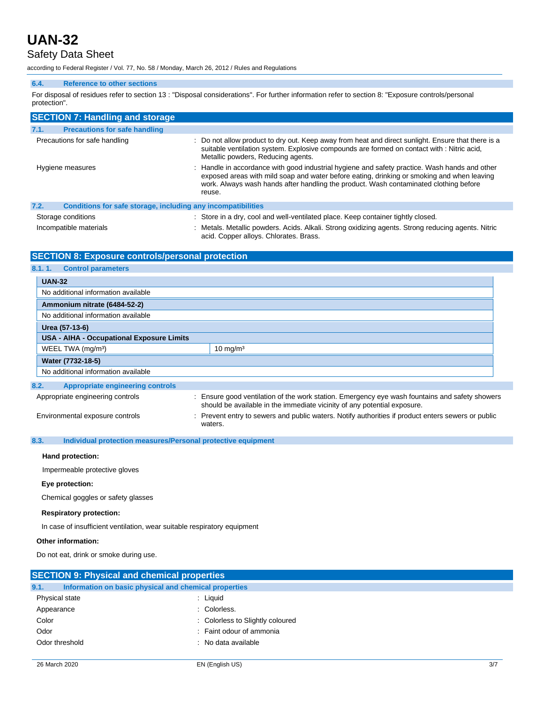# Safety Data Sheet

according to Federal Register / Vol. 77, No. 58 / Monday, March 26, 2012 / Rules and Regulations

## **6.4. Reference to other sections**

For disposal of residues refer to section 13 : "Disposal considerations". For further information refer to section 8: "Exposure controls/personal protection".

| <b>SECTION 7: Handling and storage</b>                               |                                                                                                                                                                                                                                                                                                |
|----------------------------------------------------------------------|------------------------------------------------------------------------------------------------------------------------------------------------------------------------------------------------------------------------------------------------------------------------------------------------|
| 7.1.<br><b>Precautions for safe handling</b>                         |                                                                                                                                                                                                                                                                                                |
| Precautions for safe handling                                        | : Do not allow product to dry out. Keep away from heat and direct sunlight. Ensure that there is a<br>suitable ventilation system. Explosive compounds are formed on contact with : Nitric acid,<br>Metallic powders, Reducing agents.                                                         |
| Hygiene measures                                                     | : Handle in accordance with good industrial hygiene and safety practice. Wash hands and other<br>exposed areas with mild soap and water before eating, drinking or smoking and when leaving<br>work. Always wash hands after handling the product. Wash contaminated clothing before<br>reuse. |
| 7.2.<br>Conditions for safe storage, including any incompatibilities |                                                                                                                                                                                                                                                                                                |
| Storage conditions                                                   | : Store in a dry, cool and well-ventilated place. Keep container tightly closed.                                                                                                                                                                                                               |
| Incompatible materials                                               | : Metals. Metallic powders. Acids. Alkali. Strong oxidizing agents. Strong reducing agents. Nitric                                                                                                                                                                                             |

acid. Copper alloys. Chlorates. Brass.

## **SECTION 8: Exposure controls/personal protection**

| 8.1.1.<br><b>Control parameters</b>                                  |                                                                                                                                                                          |  |  |
|----------------------------------------------------------------------|--------------------------------------------------------------------------------------------------------------------------------------------------------------------------|--|--|
| <b>UAN-32</b>                                                        |                                                                                                                                                                          |  |  |
| No additional information available                                  |                                                                                                                                                                          |  |  |
| Ammonium nitrate (6484-52-2)                                         |                                                                                                                                                                          |  |  |
| No additional information available                                  |                                                                                                                                                                          |  |  |
| Urea (57-13-6)                                                       |                                                                                                                                                                          |  |  |
| USA - AIHA - Occupational Exposure Limits                            |                                                                                                                                                                          |  |  |
| WEEL TWA (mg/m <sup>3</sup> )                                        | $10 \text{ mg/m}^3$                                                                                                                                                      |  |  |
| Water (7732-18-5)                                                    |                                                                                                                                                                          |  |  |
| No additional information available                                  |                                                                                                                                                                          |  |  |
| <b>Appropriate engineering controls</b><br>8.2.                      |                                                                                                                                                                          |  |  |
| Appropriate engineering controls                                     | Ensure good ventilation of the work station. Emergency eye wash fountains and safety showers<br>should be available in the immediate vicinity of any potential exposure. |  |  |
| Environmental exposure controls                                      | Prevent entry to sewers and public waters. Notify authorities if product enters sewers or public<br>waters.                                                              |  |  |
| 8.3.<br>Individual protection measures/Personal protective equipment |                                                                                                                                                                          |  |  |

### **Hand protection:**

Impermeable protective gloves

## **Eye protection:**

Chemical goggles or safety glasses

### **Respiratory protection:**

In case of insufficient ventilation, wear suitable respiratory equipment

### **Other information:**

Do not eat, drink or smoke during use.

| <b>SECTION 9: Physical and chemical properties</b> |                                                       |  |  |  |
|----------------------------------------------------|-------------------------------------------------------|--|--|--|
| 9.1.                                               | Information on basic physical and chemical properties |  |  |  |
| Physical state                                     | : Liguid                                              |  |  |  |
| Appearance                                         | : Colorless.                                          |  |  |  |
| Color                                              | : Colorless to Slightly coloured                      |  |  |  |
| Odor                                               | : Faint odour of ammonia                              |  |  |  |
| Odor threshold                                     | : No data available                                   |  |  |  |
|                                                    |                                                       |  |  |  |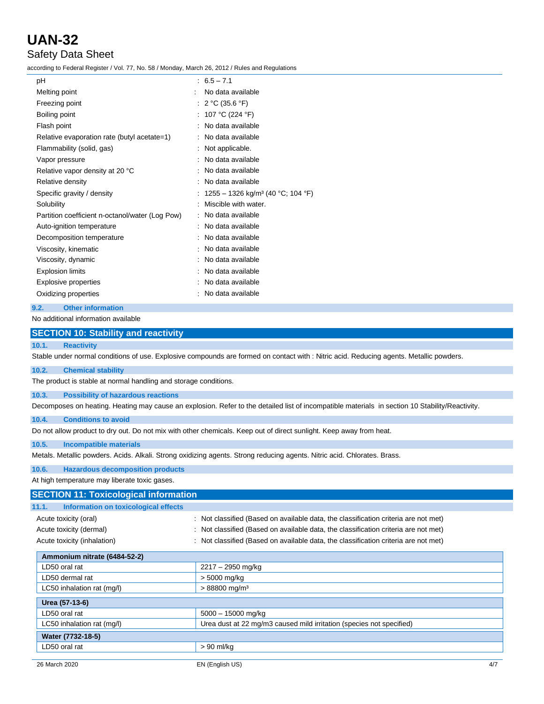# Safety Data Sheet

according to Federal Register / Vol. 77, No. 58 / Monday, March 26, 2012 / Rules and Regulations

| рH                                              | $6.5 - 7.1$                                     |
|-------------------------------------------------|-------------------------------------------------|
| Melting point                                   | No data available                               |
| Freezing point                                  | : $2 °C$ (35.6 °F)                              |
| Boiling point                                   | : 107 °C (224 °F)                               |
| Flash point                                     | : No data available                             |
| Relative evaporation rate (butyl acetate=1)     | No data available                               |
| Flammability (solid, gas)                       | Not applicable.                                 |
| Vapor pressure                                  | : No data available                             |
| Relative vapor density at 20 °C                 | No data available                               |
| Relative density                                | : No data available                             |
| Specific gravity / density                      | : 1255 – 1326 kg/m <sup>3</sup> (40 °C; 104 °F) |
| Solubility                                      | Miscible with water.                            |
| Partition coefficient n-octanol/water (Log Pow) | : No data available                             |
| Auto-ignition temperature                       | : No data available                             |
| Decomposition temperature                       | No data available                               |
| Viscosity, kinematic                            | : No data available                             |
| Viscosity, dynamic                              | : No data available                             |
| <b>Explosion limits</b>                         | No data available                               |
| <b>Explosive properties</b>                     | No data available                               |
| Oxidizing properties                            | No data available                               |
|                                                 |                                                 |

### **9.2. Other information**

No additional information available

# **SECTION 10: Stability and reactivity**

### **10.1. Reactivity**

Stable under normal conditions of use. Explosive compounds are formed on contact with : Nitric acid. Reducing agents. Metallic powders.

### **10.2. Chemical stability**

The product is stable at normal handling and storage conditions.

## **10.3. Possibility of hazardous reactions**

Decomposes on heating. Heating may cause an explosion. Refer to the detailed list of incompatible materials in section 10 Stability/Reactivity.

### **10.4. Conditions to avoid**

Do not allow product to dry out. Do not mix with other chemicals. Keep out of direct sunlight. Keep away from heat.

### **10.5. Incompatible materials**

Metals. Metallic powders. Acids. Alkali. Strong oxidizing agents. Strong reducing agents. Nitric acid. Chlorates. Brass.

**10.6. Hazardous decomposition products**

At high temperature may liberate toxic gases.

| <b>SECTION 11: Toxicological information</b>                                        |  |  |
|-------------------------------------------------------------------------------------|--|--|
|                                                                                     |  |  |
| : Not classified (Based on available data, the classification criteria are not met) |  |  |
| : Not classified (Based on available data, the classification criteria are not met) |  |  |
| : Not classified (Based on available data, the classification criteria are not met) |  |  |
|                                                                                     |  |  |
| 2217 - 2950 mg/kg                                                                   |  |  |
| > 5000 mg/kg                                                                        |  |  |
| $> 88800$ mg/m <sup>3</sup>                                                         |  |  |
| Urea (57-13-6)                                                                      |  |  |
| $5000 - 15000$ mg/kg                                                                |  |  |
| Urea dust at 22 mg/m3 caused mild irritation (species not specified)                |  |  |
|                                                                                     |  |  |
| > 90 ml/kg                                                                          |  |  |
|                                                                                     |  |  |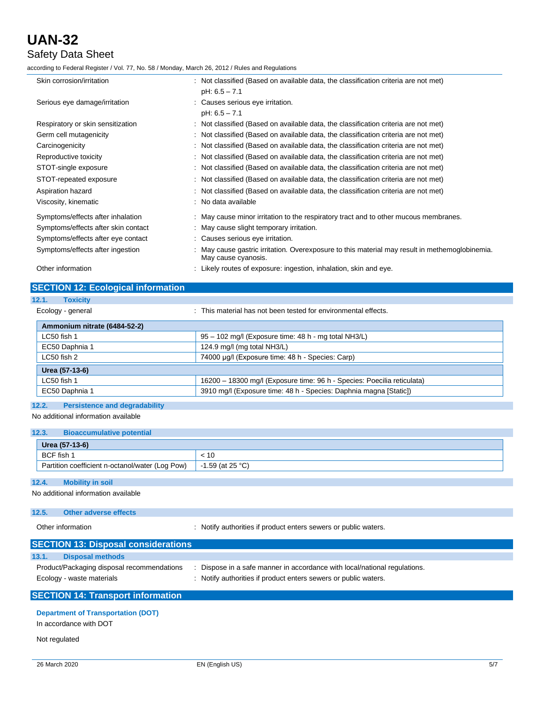# Safety Data Sheet

according to Federal Register / Vol. 77, No. 58 / Monday, March 26, 2012 / Rules and Regulations

| Skin corrosion/irritation           | : Not classified (Based on available data, the classification criteria are not met)                                   |
|-------------------------------------|-----------------------------------------------------------------------------------------------------------------------|
|                                     | $pH: 6.5 - 7.1$                                                                                                       |
| Serious eye damage/irritation       | : Causes serious eye irritation.                                                                                      |
|                                     | $pH: 6.5 - 7.1$                                                                                                       |
| Respiratory or skin sensitization   | : Not classified (Based on available data, the classification criteria are not met)                                   |
| Germ cell mutagenicity              | : Not classified (Based on available data, the classification criteria are not met)                                   |
| Carcinogenicity                     | : Not classified (Based on available data, the classification criteria are not met)                                   |
| Reproductive toxicity               | : Not classified (Based on available data, the classification criteria are not met)                                   |
| STOT-single exposure                | : Not classified (Based on available data, the classification criteria are not met)                                   |
| STOT-repeated exposure              | : Not classified (Based on available data, the classification criteria are not met)                                   |
| Aspiration hazard                   | : Not classified (Based on available data, the classification criteria are not met)                                   |
| Viscosity, kinematic                | : No data available                                                                                                   |
| Symptoms/effects after inhalation   | : May cause minor irritation to the respiratory tract and to other mucous membranes.                                  |
| Symptoms/effects after skin contact | : May cause slight temporary irritation.                                                                              |
| Symptoms/effects after eye contact  | : Causes serious eye irritation.                                                                                      |
| Symptoms/effects after ingestion    | : May cause gastric irritation. Overexposure to this material may result in methemoglobinemia.<br>May cause cyanosis. |
| Other information                   | : Likely routes of exposure: ingestion, inhalation, skin and eye.                                                     |

### **SECTION 12: Ecological information**

| 12.1.<br><b>Toxicity</b>     |                                                                         |  |
|------------------------------|-------------------------------------------------------------------------|--|
| Ecology - general            | : This material has not been tested for environmental effects.          |  |
| Ammonium nitrate (6484-52-2) |                                                                         |  |
| LC50 fish 1                  | 95 - 102 mg/l (Exposure time: 48 h - mg total NH3/L)                    |  |
| EC50 Daphnia 1               | 124.9 mg/l (mg total NH3/L)                                             |  |
| LC50 fish 2                  | 74000 µg/l (Exposure time: 48 h - Species: Carp)                        |  |
| Urea (57-13-6)               |                                                                         |  |
| LC50 fish 1                  | 16200 - 18300 mg/l (Exposure time: 96 h - Species: Poecilia reticulata) |  |
| EC50 Daphnia 1               | 3910 mg/l (Exposure time: 48 h - Species: Daphnia magna [Static])       |  |

## **12.2. Persistence and degradability**

No additional information available

### **12.3. Bioaccumulative potential**

| .<br><b>PROGRAMMENTO POLONICI</b><br>Urea (57-13-6) |                  |
|-----------------------------------------------------|------------------|
| BCF fish                                            |                  |
| Partition coefficient n-octanol/water (Log Pow)     | -1.59 (at 25 °C) |

### **12.4. Mobility in soil**

No additional information available

```
12.5. Other adverse effects
```
Other information **contains the contract of the contract of the contract of the contract of the contract of the contract of the contract of the contract of the contract of the contract of the contract of the contract of th** 

|       | <b>SECTION 13: Disposal considerations</b>                              |                                                                                                                                            |
|-------|-------------------------------------------------------------------------|--------------------------------------------------------------------------------------------------------------------------------------------|
| 13.1. | <b>Disposal methods</b>                                                 |                                                                                                                                            |
|       | Product/Packaging disposal recommendations<br>Ecology - waste materials | Dispose in a safe manner in accordance with local/national regulations.<br>: Notify authorities if product enters sewers or public waters. |

## **SECTION 14: Transport information**

### **Department of Transportation (DOT)**

In accordance with DOT

### Not regulated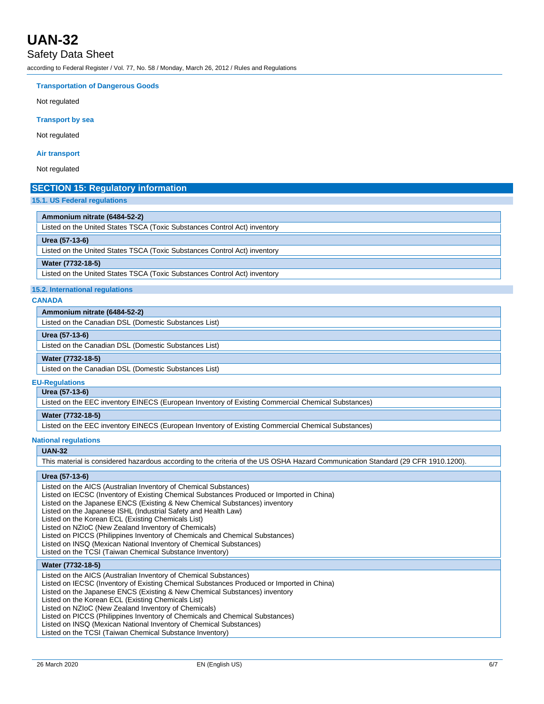## Safety Data Sheet

according to Federal Register / Vol. 77, No. 58 / Monday, March 26, 2012 / Rules and Regulations

### **Transportation of Dangerous Goods**

Not regulated

### **Transport by sea**

Not regulated

### **Air transport**

Not regulated

### **SECTION 15: Regulatory information**

### **15.1. US Federal regulations**

### **Ammonium nitrate (6484-52-2)**

Listed on the United States TSCA (Toxic Substances Control Act) inventory

#### **Urea (57-13-6)**

Listed on the United States TSCA (Toxic Substances Control Act) inventory

#### **Water (7732-18-5)**

Listed on the United States TSCA (Toxic Substances Control Act) inventory

### **15.2. International regulations**

### **CANADA**

### **Ammonium nitrate (6484-52-2)**

Listed on the Canadian DSL (Domestic Substances List)

#### **Urea (57-13-6)**

Listed on the Canadian DSL (Domestic Substances List)

### **Water (7732-18-5)**

Listed on the Canadian DSL (Domestic Substances List)

### **EU-Regulations**

**Urea (57-13-6)**

Listed on the EEC inventory EINECS (European Inventory of Existing Commercial Chemical Substances)

#### **Water (7732-18-5)**

Listed on the EEC inventory EINECS (European Inventory of Existing Commercial Chemical Substances)

### **National regulations**

### **UAN-32**

This material is considered hazardous according to the criteria of the US OSHA Hazard Communication Standard (29 CFR 1910.1200).

#### **Urea (57-13-6)**

- Listed on the AICS (Australian Inventory of Chemical Substances)
- Listed on IECSC (Inventory of Existing Chemical Substances Produced or Imported in China)
- Listed on the Japanese ENCS (Existing & New Chemical Substances) inventory
- Listed on the Japanese ISHL (Industrial Safety and Health Law)

Listed on the Korean ECL (Existing Chemicals List)

Listed on NZIoC (New Zealand Inventory of Chemicals)

Listed on PICCS (Philippines Inventory of Chemicals and Chemical Substances)

- Listed on INSQ (Mexican National Inventory of Chemical Substances)
- Listed on the TCSI (Taiwan Chemical Substance Inventory)

#### **Water (7732-18-5)**

Listed on the AICS (Australian Inventory of Chemical Substances)

Listed on IECSC (Inventory of Existing Chemical Substances Produced or Imported in China)

Listed on the Japanese ENCS (Existing & New Chemical Substances) inventory

Listed on the Korean ECL (Existing Chemicals List)

Listed on NZIoC (New Zealand Inventory of Chemicals)

Listed on PICCS (Philippines Inventory of Chemicals and Chemical Substances)

Listed on INSQ (Mexican National Inventory of Chemical Substances)

Listed on the TCSI (Taiwan Chemical Substance Inventory)